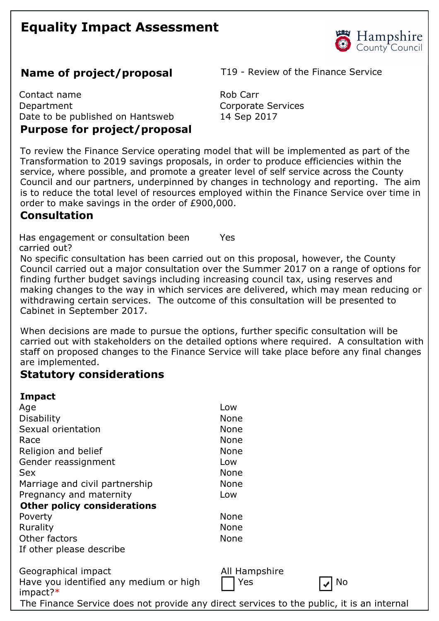# **Equality Impact Assessment**



Contact name Rob Carr Department Corporate Services Date to be published on Hantsweb 14 Sep 2017

### **Purpose for project/proposal**

**Name of project/proposal** T19 - Review of the Finance Service

To review the Finance Service operating model that will be implemented as part of the Transformation to 2019 savings proposals, in order to produce efficiencies within the service, where possible, and promote a greater level of self service across the County Council and our partners, underpinned by changes in technology and reporting. The aim is to reduce the total level of resources employed within the Finance Service over time in order to make savings in the order of £900,000.

## **Consultation**

Has engagement or consultation been carried out? Yes

No specific consultation has been carried out on this proposal, however, the County Council carried out a major consultation over the Summer 2017 on a range of options for finding further budget savings including increasing council tax, using reserves and making changes to the way in which services are delivered, which may mean reducing or withdrawing certain services. The outcome of this consultation will be presented to Cabinet in September 2017.

When decisions are made to pursue the options, further specific consultation will be carried out with stakeholders on the detailed options where required. A consultation with staff on proposed changes to the Finance Service will take place before any final changes are implemented.

# **Statutory considerations**

| Impact                                                                                    |               |
|-------------------------------------------------------------------------------------------|---------------|
| Age                                                                                       | Low           |
| <b>Disability</b>                                                                         | <b>None</b>   |
| Sexual orientation                                                                        | <b>None</b>   |
| Race                                                                                      | <b>None</b>   |
| Religion and belief                                                                       | <b>None</b>   |
| Gender reassignment                                                                       | Low           |
| <b>Sex</b>                                                                                | <b>None</b>   |
| Marriage and civil partnership                                                            | <b>None</b>   |
| Pregnancy and maternity                                                                   | Low           |
| <b>Other policy considerations</b>                                                        |               |
| Poverty                                                                                   | None          |
| Rurality                                                                                  | <b>None</b>   |
| Other factors                                                                             | None          |
| If other please describe                                                                  |               |
| Geographical impact                                                                       | All Hampshire |
| Have you identified any medium or high<br>$impact?*$                                      | Yes<br>No     |
| The Finance Service does not provide any direct services to the public, it is an internal |               |